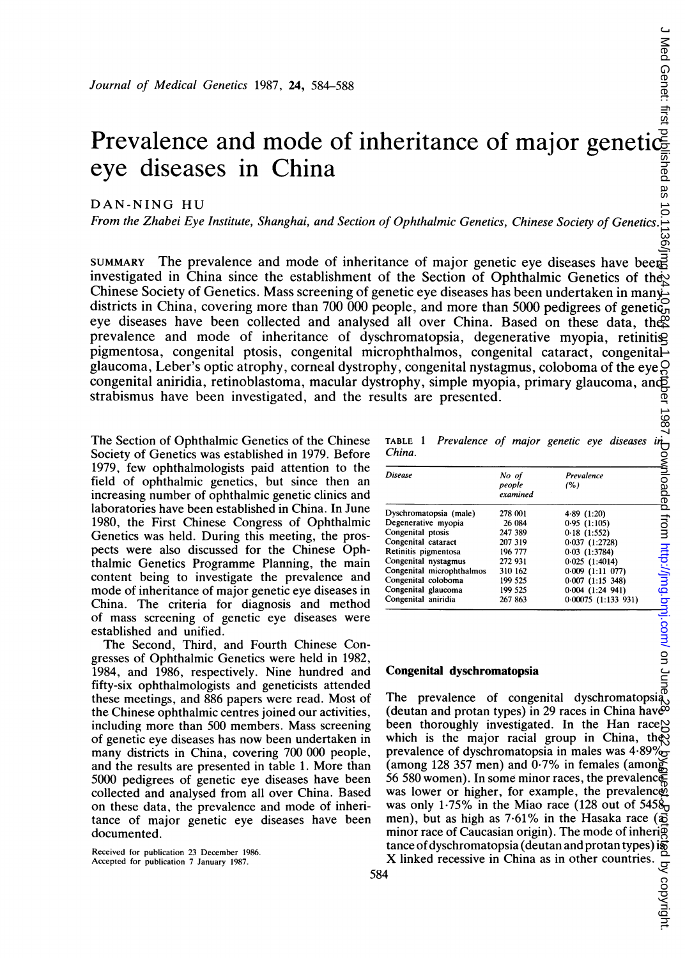# Prevalence and mode of inheritance of major genetic eye diseases in China

DAN-NING HU

From the Zhabei Eye Institute, Shanghai, and Section of Ophthalmic Genetics, Chinese Society of Genetics.

SUMMARY The prevalence and mode of inheritance of major genetic eye diseases have been investigated in China since the establishment of the Section of Ophthalmic Genetics of the Chinese Society of Genetics. Mass screening of genetic eye diseases has been undertaken in many districts in China, covering more than 700 000 people, and more than 5000 pedigrees of genetic, eye diseases have been collected and analysed all over China. Based on these data, the prevalence and mode of inheritance of dyschromatopsia, degenerative myopia, retinitis pigmentosa, congenital ptosis, congenital microphthalmos, congenital cataract, congenital glaucoma, Leber's optic atrophy, corneal dystrophy, congenital nystagmus, coloboma of the eye. congenital aniridia, retinoblastoma, macular dystrophy, simple myopia, primary glaucoma, and strabismus have been investigated, and the results are presented.

The Section of Ophthalmic Genetics of the Chinese Society of Genetics was established in 1979. Before 1979, few ophthalmologists paid attention to the field of ophthalmic genetics, but since then an increasing number of ophthalmic genetic clinics and laboratories have been established in China. In June 1980, the First Chinese Congress of Ophthalmic Genetics was held. During this meeting, the prospects were also discussed for the Chinese Ophthalmic Genetics Programme Planning, the main content being to investigate the prevalence and mode of inheritance of major genetic eye diseases in China. The criteria for diagnosis and method of mass screening of genetic eye diseases were established and unified.

The Second, Third, and Fourth Chinese Congresses of Ophthalmic Genetics were held in 1982, 1984, and 1986, respectively. Nine hundred and fifty-six ophthalmologists and geneticists attended these meetings, and 886 papers were read. Most of the Chinese ophthalmic centres joined our activities, including more than 500 members. Mass screening of genetic eye diseases has now been undertaken in many districts in China, covering 700 000 people, and the results are presented in table 1. More than 5000 pedigrees of genetic eye diseases have been collected and analysed from all over China. Based on these data, the prevalence and mode of inheritance of major genetic eye diseases have been documented.

Received for publication 23 December 1986. Accepted for publication 7 January 1987.

TABLE <sup>1</sup> Prevalence China. of major genetic eye diseases in

| <b>Disease</b>            | No of<br>people<br>examined | Prevalence<br>(%)    |
|---------------------------|-----------------------------|----------------------|
| Dyschromatopsia (male)    | 278 001                     | 4.89(1:20)           |
| Degenerative myopia       | 26 084                      | 0.95(1:105)          |
| Congenital ptosis         | 247 389                     | 0.18(1:552)          |
| Congenital cataract       | 207 319                     | 0.037(1:2728)        |
| Retinitis pigmentosa      | 196 777                     | 0.03(1:3784)         |
| Congenital nystagmus      | 272 931                     | 0.025(1:4014)        |
| Congenital microphthalmos | 310 162                     | 0.009(1:11077)       |
| Congenital coloboma       | 199 525                     | 0.007(1:15348)       |
| Congenital glaucoma       | 199 525                     | $0.004$ $(1:24$ 941) |
| Congenital aniridia       | 267 863                     | 0.00075 (1:133 931)  |

#### Congenital dyschromatopsia

The prevalence of congenital dyschromatopsia (deutan and protan types) in 29 races in China have been thoroughly investigated. In the Han race $\bowtie$ which is the major racial group in China, they prevalence of dyschromatopsia in males was  $4.89\%$ (among 128 357 men) and  $0.7\%$  in females (among 56 580 women). In some minor races, the prevalence was lower or higher, for example, the prevalence was only 1.75% in the Miao race (128 out of  $5458<sub>n</sub>$ ) men), but as high as 7.61% in the Hasaka race ( $\overline{\Phi}$ ) minor race of Caucasian origin). The mode of inheri $\overline{g}$ tance of dyschromatopsia (deutan and protan types) is<br>X linked recessive in China as in other countries. on Back Hist pyblished as 10.1136/jmg.84.30.584 on J October 1985. Protected from Mimg.bm/ June Genet: first published as 10.11361 on June Genet: first published from 1 October 1997. Downloaded from 10.1131. Downloaded fro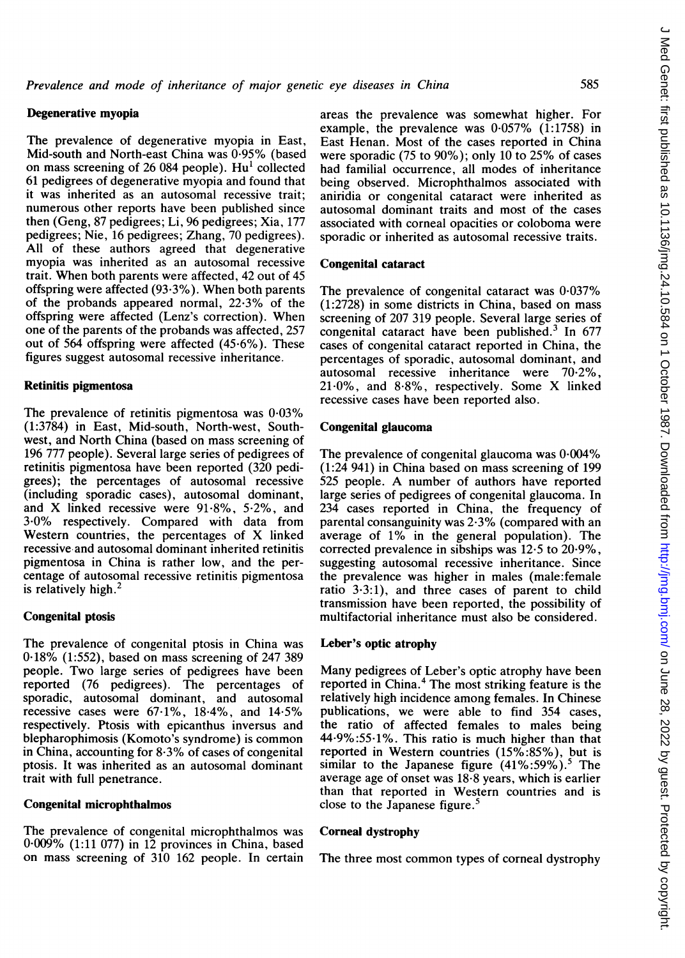## Degenerative myopia

The prevalence of degenerative myopia in East, Mid-south and North-east China was 0-95% (based on mass screening of 26 084 people). Hu' collected 61 pedigrees of degenerative myopia and found that it was inherited as an autosomal recessive trait; numerous other reports have been published since then (Geng, 87 pedigrees; Li, 96 pedigrees; Xia, 177 pedigrees; Nie, 16 pedigrees; Zhang, 70 pedigrees). All of these authors agreed that degenerative myopia was inherited as an autosomal recessive trait. When both parents were affected, 42 out of 45 offspring were affected (93-3%). When both parents of the probands appeared normal,  $22.3\%$  of the offspring were affected (Lenz's correction). When one of the parents of the probands was affected, 257 out of 564 offspring were affected  $(45.6\%)$ . These figures suggest autosomal recessive inheritance.

### Retinitis pigmentosa

The prevalence of retinitis pigmentosa was 0-03% (1:3784) in East, Mid-south, North-west, Southwest, and North China (based on mass screening of 196 777 people). Several large series of pedigrees of retinitis pigmentosa have been reported (320 pedigrees); the percentages of autosomal recessive (including sporadic cases), autosomal dominant, and X linked recessive were 91-8%, 5-2%, and 3-0% respectively. Compared with data from Western countries, the percentages of X linked recessive and autosomal dominant inherited retinitis pigmentosa in China is rather low, and the percentage of autosomal recessive retinitis pigmentosa is relatively high.<sup>2</sup>

## Congenital ptosis

The prevalence of congenital ptosis in China was 0\*18% (1:552), based on mass screening of 247 389 people. Two large series of pedigrees have been reported (76 pedigrees). The percentages of sporadic, autosomal dominant, and autosomal recessive cases were  $67.1\%$ ,  $18.4\%$ , and  $14.5\%$ respectively. Ptosis with epicanthus inversus and blepharophimosis (Komoto's syndrome) is common in China, accounting for 8-3% of cases of congenital ptosis. It was inherited as an autosomal dominant trait with full penetrance.

#### Congenital microphthalmos

The prevalence of congenital microphthalmos was 0\*009% (1:11 077) in 12 provinces in China, based on mass screening of 310 162 people. In certain areas the prevalence was somewhat higher. For example, the prevalence was  $0.057\%$  (1:1758) in East Henan. Most of the cases reported in China were sporadic (75 to 90%); only 10 to 25% of cases had familial occurrence, all modes of inheritance being observed. Microphthalmos associated with aniridia or congenital cataract were inherited as autosomal dominant traits and most of the cases associated with corneal opacities or coloboma were sporadic or inherited as autosomal recessive traits.

#### Congenital cataract

The prevalence of congenital cataract was  $0.037\%$ (1:2728) in some districts in China, based on mass screening of 207 319 people. Several large series of congenital cataract have been published.3 In 677 cases of congenital cataract reported in China, the percentages of sporadic, autosomal dominant, and autosomal recessive inheritance were 70-2%,  $21.0\%$ , and  $8.8\%$ , respectively. Some X linked recessive cases have been reported also.

# Congenital glaucoma

The prevalence of congenital glaucoma was 0-004% (1:24 941) in China based on mass screening of 199 <sup>525</sup> people. A number of authors have reported large series of pedigrees of congenital glaucoma. In 234 cases reported in China, the frequency of parental consanguinity was 2-3% (compared with an average of 1% in the general population). The corrected prevalence in sibships was 12.5 to 20-9%, suggesting autosomal recessive inheritance. Since the prevalence was higher in males (male:female ratio  $3.3:1$ ), and three cases of parent to child transmission have been reported, the possibility of multifactorial inheritance must also be considered.

## Leber's optic atrophy

Many pedigrees of Leber's optic atrophy have been reported in China.<sup>4</sup> The most striking feature is the relatively high incidence among females. In Chinese publications, we were able to find 354 cases, the ratio of affected females to males being 44-9%:55-1%. This ratio is much higher than that reported in Western countries (15%:85%), but is similar to the Japanese figure  $(41\%:59\%)$ .<sup>5</sup> The average age of onset was  $18.8$  years, which is earlier than that reported in Western countries and is close to the Japanese figure.<sup>5</sup>

## Corneal dystrophy

The three most common types of corneal dystrophy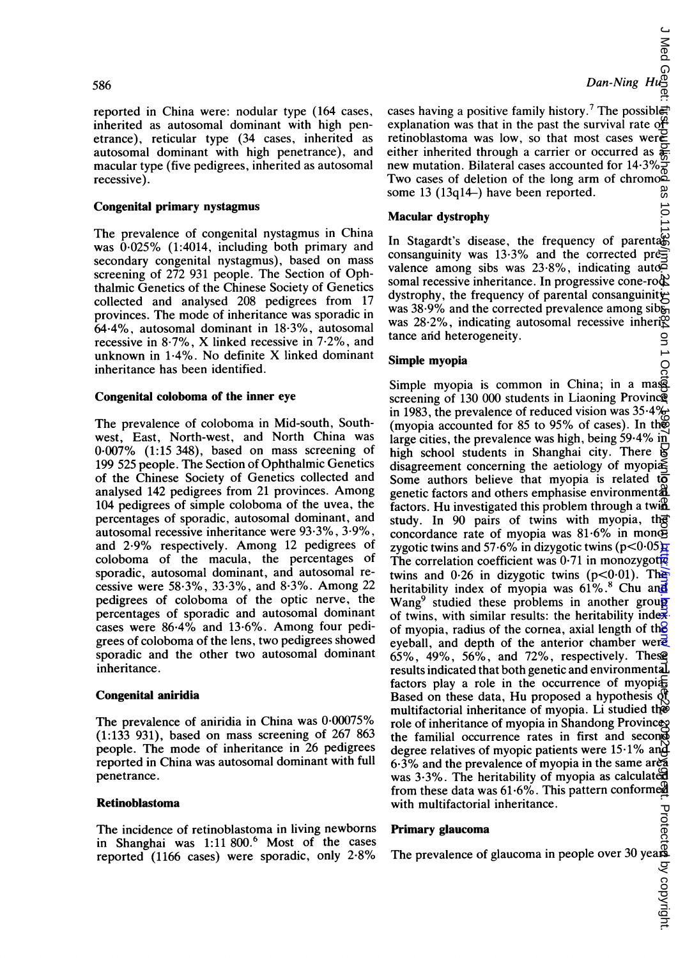586

reported in China were: nodular type (164 cases, inherited as autosomal dominant with high penetrance), reticular type (34 cases, inherited as autosomal dominant with high penetrance), and macular type (five pedigrees, inherited as autosomal recessive).

# Congenital primary nystagmus

The prevalence of congenital nystagmus in China was  $0.025\%$  (1:4014, including both primary and secondary congenital nystagmus), based on mass screening of 272 931 people. The Section of Ophthalmic Genetics of the Chinese Society of Genetics collected and analysed 208 pedigrees from 17 provinces. The mode of inheritance was sporadic in 64-4%, autosomal dominant in 18 3%, autosomal recessive in 8-7%, X linked recessive in 7-2%, and unknown in 1-4%. No definite X linked dominant inheritance has been identified.

## Congenital coloboma of the inner eye

The prevalence of coloboma in Mid-south, Southwest, East, North-west, and North China was 0-007% (1:15 348), based on mass screening of 199 525 people. The Section of Ophthalmic Genetics of the Chinese Society of Genetics collected and analysed 142 pedigrees from <sup>21</sup> provinces. Among 104 pedigrees of simple coloboma of the uvea, the percentages of sporadic, autosomal dominant, and autosomal recessive inheritance were 93 3%, 3-9%, and 2-9% respectively. Among <sup>12</sup> pedigrees of coloboma of the macula, the percentages of sporadic, autosomal dominant, and autosomal recessive were 58 3%, 33-3%, and 8-3%. Among 22 pedigrees of coloboma of the optic nerve, the percentages of sporadic and autosomal dominant cases were 86-4% and 13.6%. Among four pedigrees of coloboma of the lens, two pedigrees showed sporadic and the other two autosomal dominant inheritance.

# Congenital aniridia

The prevalence of aniridia in China was 0-00075% (1:133 931), based on mass screening of 267 863 people. The mode of inheritance in 26 pedigrees reported in China was autosomal dominant with full penetrance.

#### Retinoblastoma

The incidence of retinoblastoma in living newborns in Shanghai was 1:11 800.<sup>6</sup> Most of the cases reported (1166 cases) were sporadic, only 2-8%

 $\sum_{\substack{a \text{odd} \\ \text{odd} \\ \text{odd} \\ \text{odd} \\ \text{odd} \\ \text{odd} \\ \text{odd} \\ \text{odd} \\ \text{odd} \\ \text{odd} \\ \text{odd} \\ \text{odd} \\ \text{odd} \\ \text{odd} \\ \text{odd} \\ \text{odd} \\ \text{odd} \\ \text{odd} \\ \text{odd} \\ \text{odd} \\ \text{odd} \\ \text{odd} \\ \text{odd} \\ \text{odd} \\ \text{odd} \\ \text{odd} \\ \text{odd} \\ \text{odd} \\ \text{odd} \\ \text{odd} \\ \text{odd} \\ \text{odd} \\ \text{odd} \\ \text{odd} \\ \text{odd} \\ \text$ 

cases having a positive family history.<sup>7</sup> The possible: explanation was that in the past the survival rate of retinoblastoma was low, so that most cases were either inherited through a carrier or occurred as  $\phi$ new mutation. Bilateral cases accounted for  $14.3\%$ <sub>R</sub> Two cases of deletion of the long arm of chromosome 13 (13ql4-) have been reported.

## Macular dystrophy

In Stagardt's disease, the frequency of parental consanguinity was 13.3% and the corrected prevalence among sibs was  $23.8\%$ , indicating auto $\approx$ somal recessive inheritance. In progressive cone-rod dystrophy, the frequency of parental consanguinity was 38.9% and the corrected prevalence among sib<sub>on</sub> was  $28.2\%$ , indicating autosomal recessive inheri $\mathcal{R}$ tance and heterogeneity. on 1 Oct

#### Simple myopia

Simple myopia is common in China; in a mass screening of 130 000 students in Liaoning Province in 1983, the prevalence of reduced vision was  $35.4\%$ (myopia accounted for 85 to 95% of cases). In the large cities, the prevalence was high, being 59.4% in high school students in Shanghai city. There is disagreement concerning the aetiology of myopi $\tilde{\mathbb{R}}$ Some authors believe that myopia is related  $t\overline{0}$ genetic factors and others emphasise environmental factors. Hu investigated this problem through a twill study. In 90 pairs of twins with myopia, the concordance rate of myopia was  $81.6\%$  in monog zygotic twins and 57.6% in dizygotic twins ( $p < 0.05$ ) The correlation coefficient was  $0.71$  in monozygotic twins and  $0.26$  in dizygotic twins (p<0.01). The heritability index of myopia was  $61\%$ .<sup>8</sup> Chu and Wang<sup>9</sup> studied these problems in another group of twins, with similar results: the heritability inde $\vec{x}$ . of myopia, radius of the cornea, axial length of the eyeball, and depth of the anterior chamber were 65%, 49%, 56%, and 72%, respectively. These results indicated that both genetic and environmental factors play a role in the occurrence of myopi $\pm$ Based on these data, Hu proposed a hypothesis  $\mathfrak{R}$ multifactorial inheritance of myopia. Li studied the role of inheritance of myopia in Shandong Province the familial occurrence rates in first and second degree relatives of myopic patients were  $15.1\%$  and  $6.3\%$  and the prevalence of myopia in the same area was  $3.3\%$ . The heritability of myopia as calculated from these data was  $61.6\%$ . This pattern conformed with multifactorial inheritance. on June 28, 2022 by guest. Protected by copyright. <http://jmg.bmj.com/> J Med Genet: first published as 10.1136/jmg.24.10.584 on 1 October 1987. Downloaded from

#### Primary glaucoma

With mutuactorial inferitance.<br> **Primary glaucoma**<br>
The prevalence of glaucoma in people over 30 years<br>
The prevalence of glaucoma in people over 30 years<br>  $\frac{30}{50}$ <br>  $\frac{30}{50}$ <br>  $\frac{30}{50}$ <br>  $\frac{30}{50}$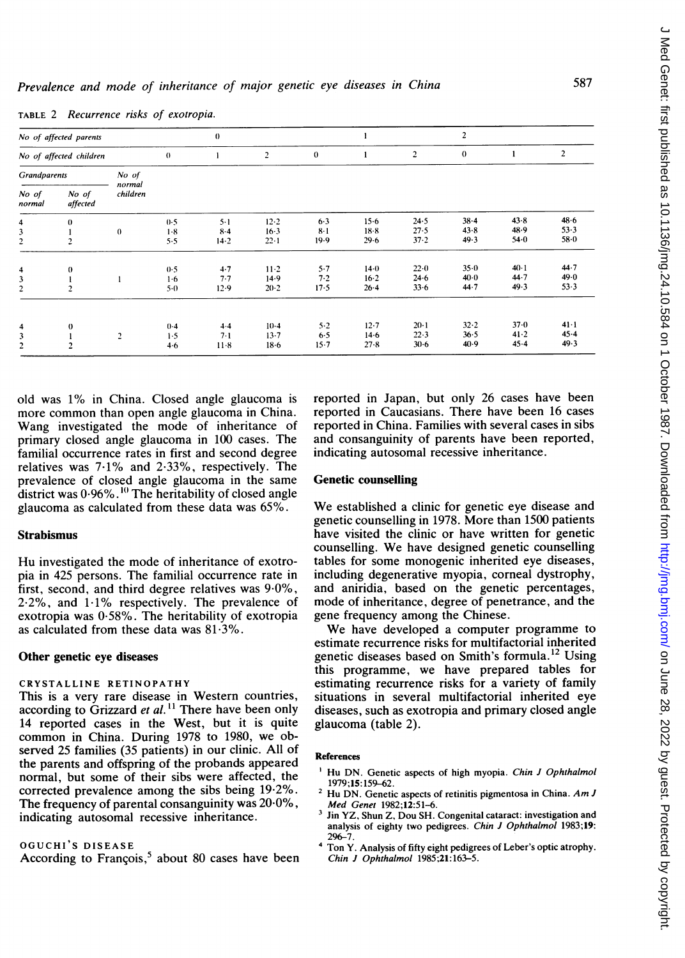| No of affected parents       |                                    |                    |                         | $\bf{0}$                       |                                |                              |                                  |                                | $\overline{2}$           |                            |                              |
|------------------------------|------------------------------------|--------------------|-------------------------|--------------------------------|--------------------------------|------------------------------|----------------------------------|--------------------------------|--------------------------|----------------------------|------------------------------|
| No of affected children      |                                    |                    | $\theta$                | 1                              | $\overline{c}$                 | $\bf{0}$                     |                                  | $\overline{\mathbf{c}}$        | $\bf{0}$                 |                            | $\overline{2}$               |
| <b>Grandparents</b><br>No of |                                    |                    |                         |                                |                                |                              |                                  |                                |                          |                            |                              |
| No of<br>normal              | No of<br>affected                  | normal<br>children |                         |                                |                                |                              |                                  |                                |                          |                            |                              |
| 4<br>3<br>2                  | $\bf{0}$<br>2                      | $\bf{0}$           | 0.5<br>$1-8$<br>5.5     | $5 - 1$<br>$8 - 4$<br>$14 - 2$ | $12 - 2$<br>$16-3$<br>$22 - 1$ | $6-3$<br>$8-1$<br>19.9       | $15-6$<br>$18-8$<br>29.6         | 24.5<br>27.5<br>37.2           | $38 - 4$<br>43.8<br>49.3 | 43.8<br>48.9<br>$54 - 0$   | $48 - 6$<br>53.3<br>58.0     |
| 4<br>2                       | $\boldsymbol{0}$<br>$\overline{2}$ |                    | 0.5<br>$1-6$<br>$5-0$   | 4.7<br>7.7<br>12.9             | $11-2$<br>14.9<br>$20 - 2$     | $5 - 7$<br>7.2<br>17.5       | 14.0<br>$16 - 2$<br>$26 - 4$     | 22.0<br>$24-6$<br>33.6         | $35 - 0$<br>40.0<br>44.7 | $40-1$<br>$44 - 7$<br>49.3 | 44.7<br>49.0<br>53.3         |
| 4<br>3<br>$\overline{c}$     | $\bf{0}$<br>$\overline{2}$         | $\overline{c}$     | $0-4$<br>1.5<br>$4 - 6$ | $4-4$<br>$7-1$<br>$11 - 8$     | $10-4$<br>$13 - 7$<br>$18 - 6$ | $5 - 2$<br>$6-5$<br>$15 - 7$ | $12 - 7$<br>$14 - 6$<br>$27 - 8$ | $20-1$<br>$22 - 3$<br>$30 - 6$ | 32.2<br>$36 - 5$<br>40.9 | $37 - 0$<br>41.2<br>45.4   | $41 - 1$<br>$45 - 4$<br>49.3 |

TABLE 2 Recurrence risks of exotropia.

old was 1% in China. Closed angle glaucoma is more common than open angle glaucoma in China. Wang investigated the mode of inheritance of primary closed angle glaucoma in 100 cases. The familial occurrence rates in first and second degree relatives was 7-1% and 2-33%, respectively. The prevalence of closed angle glaucoma in the same district was  $0.96\%$ .<sup>10</sup> The heritability of closed angle glaucoma as calculated from these data was 65%.

## Strabismus

Hu investigated the mode of inheritance of exotropia in 425 persons. The familial occurrence rate in first, second, and third degree relatives was  $9.0\%$ ,  $2.2\%$ , and  $1.1\%$  respectively. The prevalence of exotropia was 0-58%. The heritability of exotropia as calculated from these data was 81-3%.

## Other genetic eye diseases

#### CRYSTALLINE RETINOPATHY

This is a very rare disease in Western countries, according to Grizzard *et al.*<sup>11</sup> There have been only 14 reported cases in the West, but it is quite common in China. During 1978 to 1980, we observed 25 families (35 patients) in our clinic. All of the parents and offspring of the probands appeared normal, but some of their sibs were affected, the corrected prevalence among the sibs being 19-2%. The frequency of parental consanguinity was 20-0%, indicating autosomal recessive inheritance.

#### OGUCHI'S DISEASE

According to François,<sup>5</sup> about 80 cases have been

reported in Japan, but only 26 cases have been reported in Caucasians. There have been 16 cases reported in China. Families with several cases in sibs and consanguinity of parents have been reported, indicating autosomal recessive inheritance.

# Genetic counselling

We established <sup>a</sup> clinic for genetic eye disease and genetic counselling in 1978. More than 1500 patients have visited the clinic or have written for genetic counselling. We have designed genetic counselling tables for some monogenic inherited eye diseases, including degenerative myopia, corneal dystrophy, and aniridia, based on the genetic percentages, mode of inheritance, degree of penetrance, and the gene frequency among the Chinese.

We have developed <sup>a</sup> computer programme to estimate recurrence risks for multifactorial inherited genetic diseases based on Smith's formula.<sup>12</sup> Using this programme, we have prepared tables for estimating recurrence risks for a variety of family situations in several multifactorial inherited eye diseases, such as exotropia and primary closed angle glaucoma (table 2).

#### References

- Hu DN. Genetic aspects of high myopia. Chin J Ophthalmol 1979;15: 159-62.
- Hu DN. Genetic aspects of retinitis pigmentosa in China. Am J Med Genet 1982;12:51-6.
- <sup>3</sup> Jin YZ, Shun Z, Dou SH. Congenital cataract: investigation and analysis of eighty two pedigrees. Chin J Ophthalmol 1983;19: 296-7.
- <sup>4</sup> Ton Y. Analysis of fifty eight pedigrees of Leber's optic atrophy. Chin J Ophthalmol 1985;21:163-5.